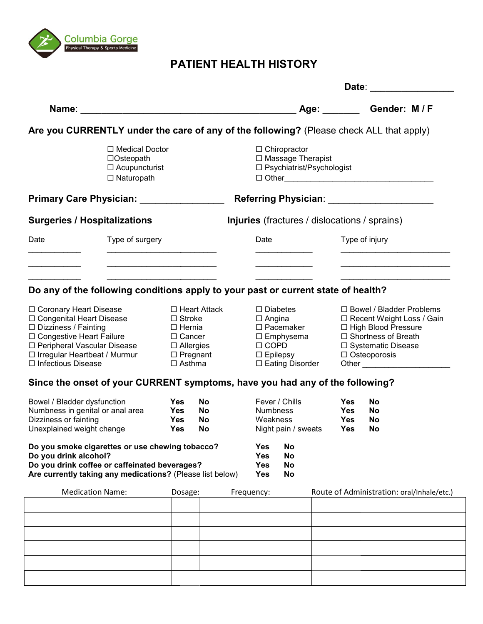

## PATIENT HEALTH HISTORY HISTORY

|                                                                                                                                                                                                                                                          |                                                                                   |                                                                                                                                    |                       | Date:                                                                     |                                                                                                                                     |                                                                     |  |                                                                                                                                                            |                                                      |  |  |
|----------------------------------------------------------------------------------------------------------------------------------------------------------------------------------------------------------------------------------------------------------|-----------------------------------------------------------------------------------|------------------------------------------------------------------------------------------------------------------------------------|-----------------------|---------------------------------------------------------------------------|-------------------------------------------------------------------------------------------------------------------------------------|---------------------------------------------------------------------|--|------------------------------------------------------------------------------------------------------------------------------------------------------------|------------------------------------------------------|--|--|
|                                                                                                                                                                                                                                                          |                                                                                   |                                                                                                                                    |                       | Age: _______                                                              |                                                                                                                                     |                                                                     |  |                                                                                                                                                            | Gender: M / F                                        |  |  |
| Are you CURRENTLY under the care of any of the following? (Please check ALL that apply)                                                                                                                                                                  |                                                                                   |                                                                                                                                    |                       |                                                                           |                                                                                                                                     |                                                                     |  |                                                                                                                                                            |                                                      |  |  |
|                                                                                                                                                                                                                                                          | □ Medical Doctor<br>$\Box$ Osteopath<br>$\Box$ Acupuncturist<br>$\Box$ Naturopath |                                                                                                                                    |                       | $\Box$ Chiropractor<br>□ Massage Therapist<br>□ Psychiatrist/Psychologist |                                                                                                                                     |                                                                     |  |                                                                                                                                                            |                                                      |  |  |
| Primary Care Physician: _________________                                                                                                                                                                                                                |                                                                                   |                                                                                                                                    |                       |                                                                           |                                                                                                                                     |                                                                     |  |                                                                                                                                                            |                                                      |  |  |
| <b>Surgeries / Hospitalizations</b>                                                                                                                                                                                                                      |                                                                                   |                                                                                                                                    |                       |                                                                           |                                                                                                                                     |                                                                     |  |                                                                                                                                                            | <b>Injuries</b> (fractures / dislocations / sprains) |  |  |
| Date                                                                                                                                                                                                                                                     | Type of surgery                                                                   |                                                                                                                                    |                       |                                                                           | Date                                                                                                                                |                                                                     |  | Type of injury                                                                                                                                             |                                                      |  |  |
|                                                                                                                                                                                                                                                          |                                                                                   |                                                                                                                                    |                       |                                                                           |                                                                                                                                     |                                                                     |  |                                                                                                                                                            |                                                      |  |  |
| Do any of the following conditions apply to your past or current state of health?                                                                                                                                                                        |                                                                                   |                                                                                                                                    |                       |                                                                           |                                                                                                                                     |                                                                     |  |                                                                                                                                                            |                                                      |  |  |
| □ Coronary Heart Disease<br>□ Congenital Heart Disease<br>$\Box$ Dizziness / Fainting<br>□ Congestive Heart Failure<br>□ Peripheral Vascular Disease<br>□ Irregular Heartbeat / Murmur<br>□ Infectious Disease                                           |                                                                                   | $\Box$ Heart Attack<br>$\Box$ Stroke<br>$\square$ Hernia<br>□ Cancer<br>$\Box$ Allergies<br>$\square$ Pregnant<br>$\square$ Asthma |                       |                                                                           | $\square$ Diabetes<br>$\Box$ Angina<br>□ Pacemaker<br>$\square$ Emphysema<br>$\Box$ COPD<br>$\square$ Epilepsy<br>□ Eating Disorder |                                                                     |  | □ Bowel / Bladder Problems<br>□ Recent Weight Loss / Gain<br>□ High Blood Pressure<br>□ Shortness of Breath<br>□ Systematic Disease<br>$\Box$ Osteoporosis |                                                      |  |  |
| Since the onset of your CURRENT symptoms, have you had any of the following?<br>Bowel / Bladder dysfunction<br>Numbness in genital or anal area<br>Dizziness or fainting<br>Unexplained weight change<br>Do you smoke cigarettes or use chewing tobacco? |                                                                                   | <b>Yes</b><br>Yes<br>Yes<br><b>Yes</b>                                                                                             | No.<br>No<br>No<br>No | <b>Yes</b>                                                                |                                                                                                                                     | Fever / Chills<br>Numbness<br>Weakness<br>Night pain / sweats<br>No |  | <b>Yes</b><br><b>Yes</b><br><b>Yes</b><br>Yes                                                                                                              | <b>No</b><br><b>No</b><br>No<br>No                   |  |  |
| Do you drink alcohol?<br>Do you drink coffee or caffeinated beverages?<br>Are currently taking any medications? (Please list below)                                                                                                                      |                                                                                   |                                                                                                                                    |                       | <b>Yes</b><br><b>Yes</b><br><b>Yes</b>                                    |                                                                                                                                     | <b>No</b><br>No<br><b>No</b>                                        |  |                                                                                                                                                            |                                                      |  |  |
| <b>Medication Name:</b>                                                                                                                                                                                                                                  |                                                                                   | Dosage:                                                                                                                            |                       | Frequency:                                                                |                                                                                                                                     |                                                                     |  |                                                                                                                                                            | Route of Administration: oral/Inhale/etc.)           |  |  |
|                                                                                                                                                                                                                                                          |                                                                                   |                                                                                                                                    |                       |                                                                           |                                                                                                                                     |                                                                     |  |                                                                                                                                                            |                                                      |  |  |
|                                                                                                                                                                                                                                                          |                                                                                   |                                                                                                                                    |                       |                                                                           |                                                                                                                                     |                                                                     |  |                                                                                                                                                            |                                                      |  |  |
|                                                                                                                                                                                                                                                          |                                                                                   |                                                                                                                                    |                       |                                                                           |                                                                                                                                     |                                                                     |  |                                                                                                                                                            |                                                      |  |  |
|                                                                                                                                                                                                                                                          |                                                                                   |                                                                                                                                    |                       |                                                                           |                                                                                                                                     |                                                                     |  |                                                                                                                                                            |                                                      |  |  |
|                                                                                                                                                                                                                                                          |                                                                                   |                                                                                                                                    |                       |                                                                           |                                                                                                                                     |                                                                     |  |                                                                                                                                                            |                                                      |  |  |